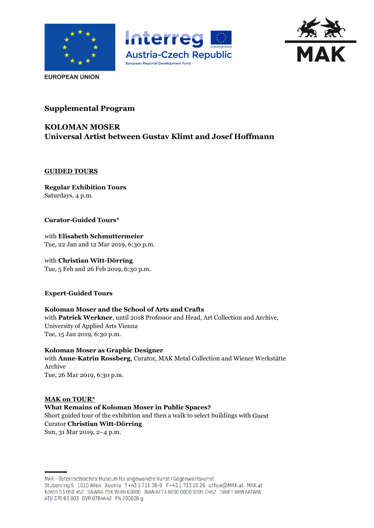





**EUROPEAN UNION** 

# **Supplemental Program**

# **KOLOMAN MOSER Universal Artist between Gustav Klimt and Josef Hoffmann**

## **GUIDED TOURS**

**Regular Exhibition Tours** Saturdays, 4 p.m.

## **Curator-Guided Tours\***

with **Elisabeth Schmuttermeier** Tue, 22 Jan and 12 Mar 2019, 6:30 p.m.

with **Christian Witt-Dörring** Tue, 5 Feb and 26 Feb 2019, 6:30 p.m.

## **Expert-Guided Tours**

#### **Koloman Moser and the School of Arts and Crafts** with **Patrick Werkner**, until 2018 Professor and Head, Art Collection and Archive, University of Applied Arts Vienna

Tue, 15 Jan 2019, 6:30 p.m.

**Koloman Moser as Graphic Designer** with **Anne-Katrin Rossberg**, Curator, MAK Metal Collection and Wiener Werkstätte Archive Tue, 26 Mar 2019, 6:30 p.m.

#### **MAK on TOUR\* What Remains of Koloman Moser in Public Spaces?** Short guided tour of the exhibition and then a walk to select buildings with Guest Curator **Christian Witt-Dörring** Sun, 31 Mar 2019, 2–4 p.m.

MAK-Österreichisches Museum für angewandte Kunst/Gegenwartskunst Stubenring 5 1010 Wien Austria T+43 1711 36-0 F+43 1713 10 26 office@MAK.at MAK.at Konto 93 050 452 BAWAG PSK Wien 60000 IBAN AT73 6000 0000 9305 0452 SWIFT BAWAATWW ATU 370 65 803 DVR 0764442 FN 200026 g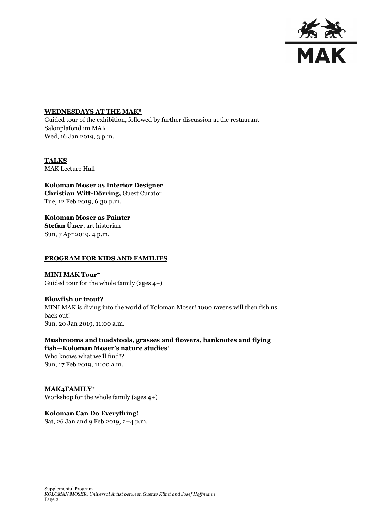

#### **WEDNESDAYS AT THE MAK\***

Guided tour of the exhibition, followed by further discussion at the restaurant Salonplafond im MAK Wed, 16 Jan 2019, 3 p.m.

#### **TALKS** MAK Lecture Hall

**Koloman Moser as Interior Designer Christian Witt-Dörring,** Guest Curator Tue, 12 Feb 2019, 6:30 p.m.

**Koloman Moser as Painter Stefan Üner**, art historian Sun, 7 Apr 2019, 4 p.m.

#### **PROGRAM FOR KIDS AND FAMILIES**

**MINI MAK Tour\*** Guided tour for the whole family (ages 4+)

**Blowfish or trout?** MINI MAK is diving into the world of Koloman Moser! 1000 ravens will then fish us back out! Sun, 20 Jan 2019, 11:00 a.m.

**Mushrooms and toadstools, grasses and flowers, banknotes and flying fish—Koloman Moser's nature studies**! Who knows what we'll find!? Sun, 17 Feb 2019, 11:00 a.m.

**MAK4FAMILY\*** Workshop for the whole family (ages 4+)

**Koloman Can Do Everything!** Sat, 26 Jan and 9 Feb 2019, 2–4 p.m.